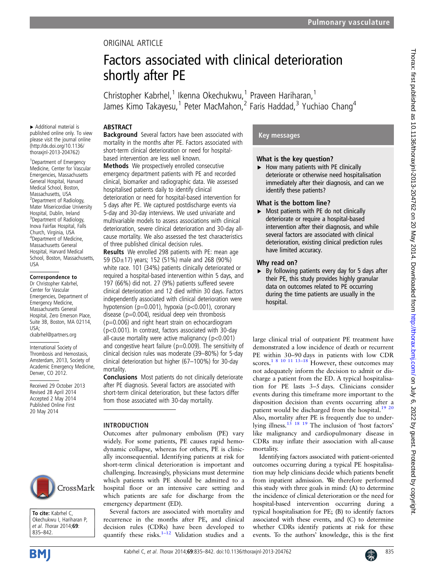# ORIGINAL ARTICLE

# Factors associated with clinical deterioration shortly after PE

Christopher Kabrhel,<sup>1</sup> Ikenna Okechukwu,<sup>1</sup> Praveen Hariharan,<sup>1</sup> James Kimo Takayesu, $^1$  Peter MacMahon, $^2$  Faris Haddad, $^3$  Yuchiao Chang $^4$ 

## ABSTRACT

▸ Additional material is published online only. To view please visit the journal online [\(http://dx.doi.org/10.1136/](http://dx.doi.org/10.1136/thoraxjnl-2013-204762) [thoraxjnl-2013-204762\)](http://dx.doi.org/10.1136/thoraxjnl-2013-204762)

<sup>1</sup> Department of Emergency Medicine, Center for Vascular Emergencies, Massachusetts General Hospital, Harvard Medical School, Boston, Massachusetts, USA 2 Department of Radiology, Mater Misericordiae University Hospital, Dublin, Ireland <sup>3</sup>Department of Radiology, Inova Fairfax Hospital, Falls Church, Virginia, USA 4 Department of Medicine, Massachusetts General Hospital, Harvard Medical School, Boston, Massachusetts, USA

#### Correspondence to

Dr Christopher Kabrhel, Center for Vascular Emergencies, Department of Emergency Medicine, Massachusetts General Hospital, Zero Emerson Place, Suite 3B, Boston, MA 02114, USA; ckabrhel@partners.org

International Society of Thrombosis and Hemostasis, Amsterdam, 2013, Society of Academic Emergency Medicine, Denver, CO 2012.

Received 29 October 2013 Revised 28 April 2014 Accepted 2 May 2014 Published Online First 20 May 2014



To cite: Kabrhel C. Okechukwu I, Hariharan P, et al. Thorax 2014;69: 835–842.

**BM** 

**Background** Several factors have been associated with mortality in the months after PE. Factors associated with short-term clinical deterioration or need for hospitalbased intervention are less well known.

Methods We prospectively enrolled consecutive emergency department patients with PE and recorded clinical, biomarker and radiographic data. We assessed hospitalised patients daily to identify clinical deterioration or need for hospital-based intervention for 5 days after PE. We captured postdischarge events via 5-day and 30-day interviews. We used univariate and

multivariable models to assess associations with clinical deterioration, severe clinical deterioration and 30-day allcause mortality. We also assessed the test characteristics of three published clinical decision rules.

Results We enrolled 298 patients with PE: mean age 59 (SD±17) years; 152 (51%) male and 268 (90%) white race. 101 (34%) patients clinically deteriorated or required a hospital-based intervention within 5 days, and 197 (66%) did not. 27 (9%) patients suffered severe clinical deterioration and 12 died within 30 days. Factors independently associated with clinical deterioration were hypotension (p=0.001), hypoxia (p<0.001), coronary disease ( $p=0.004$ ), residual deep vein thrombosis (p=0.006) and right heart strain on echocardiogram (p<0.001). In contrast, factors associated with 30-day all-cause mortality were active malignancy (p<0.001) and congestive heart failure ( $p=0.009$ ). The sensitivity of clinical decision rules was moderate (39–80%) for 5-day clinical deterioration but higher (67–100%) for 30-day mortality.

Conclusions Most patients do not clinically deteriorate after PE diagnosis. Several factors are associated with short-term clinical deterioration, but these factors differ from those associated with 30-day mortality.

### INTRODUCTION

Outcomes after pulmonary embolism (PE) vary widely. For some patients, PE causes rapid hemodynamic collapse, whereas for others, PE is clinically inconsequential. Identifying patients at risk for short-term clinical deterioration is important and challenging. Increasingly, physicians must determine which patients with PE should be admitted to a hospital floor or an intensive care setting and which patients are safe for discharge from the emergency department (ED).

Several factors are associated with mortality and recurrence in the months after PE, and clinical decision rules (CDRs) have been developed to quantify these risks.1–[12](#page-6-0) Validation studies and a

## Key messages

## What is the key question?

 $\blacktriangleright$  How many patients with PE clinically deteriorate or otherwise need hospitalisation immediately after their diagnosis, and can we identify these patients?

## What is the bottom line?

▶ Most patients with PE do not clinically deteriorate or require a hospital-based intervention after their diagnosis, and while several factors are associated with clinical deterioration, existing clinical prediction rules have limited accuracy.

## Why read on?

 $\triangleright$  By following patients every day for 5 days after their PE, this study provides highly granular data on outcomes related to PE occurring during the time patients are usually in the hospital.

large clinical trial of outpatient PE treatment have demonstrated a low incidence of death or recurrent PE within 30–90 days in patients with low CDR scores.<sup>[1](#page-6-0) [8 10 11](#page-7-0) 13–[18](#page-7-0)</sup> However, these outcomes may not adequately inform the decision to admit or discharge a patient from the ED. A typical hospitalisation for PE lasts 3–5 days. Clinicians consider events during this timeframe more important to the disposition decision than events occurring after a patient would be discharged from the hospital.<sup>19</sup> <sup>20</sup> Also, mortality after PE is frequently due to underlying illness. $15 \frac{18}{18}$  19 The inclusion of 'host factors' like malignancy and cardiopulmonary disease in CDRs may inflate their association with all-cause mortality.

Identifying factors associated with patient-oriented outcomes occurring during a typical PE hospitalisation may help clinicians decide which patients benefit from inpatient admission. We therefore performed this study with three goals in mind: (A) to determine the incidence of clinical deterioration or the need for hospital-based intervention occurring during a typical hospitalisation for PE; (B) to identify factors associated with these events, and (C) to determine whether CDRs identify patients at risk for these events. To the authors' knowledge, this is the first

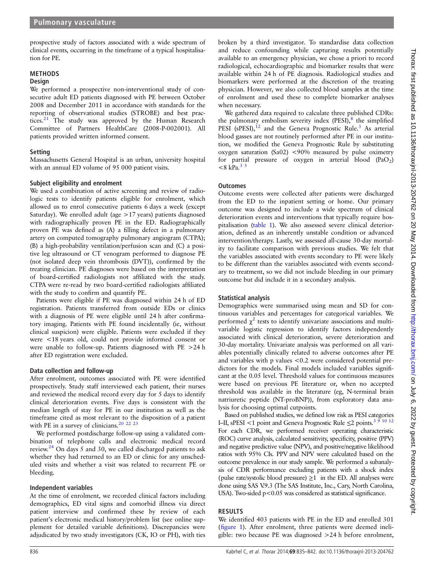# METHODS

# **Design**

We performed a prospective non-interventional study of consecutive adult ED patients diagnosed with PE between October 2008 and December 2011 in accordance with standards for the reporting of observational studies (STROBE) and best prac-tices.<sup>[21](#page-7-0)</sup> The study was approved by the Human Research Committee of Partners HealthCare (2008-P-002001). All patients provided written informed consent.

# **Setting**

Massachusetts General Hospital is an urban, university hospital with an annual ED volume of 95 000 patient visits.

# Subject eligibility and enrolment

We used a combination of active screening and review of radiologic tests to identify patients eligible for enrolment, which allowed us to enrol consecutive patients 6 days a week (except Saturday). We enrolled adult (age >17 years) patients diagnosed with radiographically proven PE in the ED. Radiographically proven PE was defined as (A) a filling defect in a pulmonary artery on computed tomography pulmonary angiogram (CTPA); (B) a high-probability ventilation/perfusion scan and (C) a positive leg ultrasound or CT venogram performed to diagnose PE (not isolated deep vein thrombosis (DVT)), confirmed by the treating clinician. PE diagnoses were based on the interpretation of board-certified radiologists not affiliated with the study. CTPA were re-read by two board-certified radiologists affiliated with the study to confirm and quantify PE.

Patients were eligible if PE was diagnosed within 24 h of ED registration. Patients transferred from outside EDs or clinics with a diagnosis of PE were eligible until 24 h after confirmatory imaging. Patients with PE found incidentally (ie, without clinical suspicion) were eligible. Patients were excluded if they were <18 years old, could not provide informed consent or were unable to follow-up. Patients diagnosed with PE >24 h after ED registration were excluded.

# Data collection and follow-up

After enrolment, outcomes associated with PE were identified prospectively. Study staff interviewed each patient, their nurses and reviewed the medical record every day for 5 days to identify clinical deterioration events. Five days is consistent with the median length of stay for PE in our institution as well as the timeframe cited as most relevant to the disposition of a patient with PE in a survey of clinicians.<sup>20</sup> <sup>22</sup> <sup>23</sup>

We performed postdischarge follow-up using a validated combination of telephone calls and electronic medical record review.<sup>[24](#page-7-0)</sup> On days 5 and 30, we called discharged patients to ask whether they had returned to an ED or clinic for any unscheduled visits and whether a visit was related to recurrent PE or bleeding.

# Independent variables

At the time of enrolment, we recorded clinical factors including demographics, ED vital signs and comorbid illness via direct patient interview and confirmed these by review of each patient's electronic medical history/problem list (see online supplement for detailed variable definitions). Discrepancies were adjudicated by two study investigators (CK, IO or PH), with ties

broken by a third investigator. To standardise data collection and reduce confounding while capturing results potentially available to an emergency physician, we chose a priori to record radiological, echocardiographic and biomarker results that were available within 24 h of PE diagnosis. Radiological studies and biomarkers were performed at the discretion of the treating physician. However, we also collected blood samples at the time of enrolment and used these to complete biomarker analyses when necessary.

We gathered data required to calculate three published CDRs: the pulmonary embolism severity index (PESI), $<sup>8</sup>$  $<sup>8</sup>$  $<sup>8</sup>$  the simplified</sup> PESI (sPESI), $12$  and the Geneva Prognostic Rule.<sup>[3](#page-6-0)</sup> As arterial blood gasses are not routinely performed after PE in our institution, we modified the Geneva Prognostic Rule by substituting oxygen saturation (Sa02) <90% measured by pulse oximetry for partial pressure of oxygen in arterial blood  $(PaO<sub>2</sub>)$  $< 8 \text{ kPa.}^3$  5

## **Outcomes**

Outcome events were collected after patients were discharged from the ED to the inpatient setting or home. Our primary outcome was designed to include a wide spectrum of clinical deterioration events and interventions that typically require hospitalisation ([table 1\)](#page-2-0). We also assessed severe clinical deterioration, defined as an inherently unstable condition or advanced intervention/therapy. Lastly, we assessed all-cause 30-day mortality to facilitate comparison with previous studies. We felt that the variables associated with events secondary to PE were likely to be different than the variables associated with events secondary to treatment, so we did not include bleeding in our primary outcome but did include it in a secondary analysis.

# Statistical analysis

Demographics were summarised using mean and SD for continuous variables and percentages for categorical variables. We performed  $\gamma^2$  tests to identify univariate associations and multivariable logistic regression to identify factors independently associated with clinical deterioration, severe deterioration and 30-day mortality. Univariate analysis was performed on all variables potentially clinically related to adverse outcomes after PE and variables with p values <0.2 were considered potential predictors for the models. Final models included variables significant at the 0.05 level. Threshold values for continuous measures were based on previous PE literature or, when no accepted threshold was available in the literature (eg, N-terminal brain natriuretic peptide (NT-proBNP)), from exploratory data analysis for choosing optimal cutpoints.

Based on published studies, we defined low risk as PESI categories I–II, sPESI <1 point and Geneva Prognostic Rule  $\leq$ 2 points.<sup>[3](#page-6-0) [9 10 12](#page-7-0)</sup> For each CDR, we performed receiver operating characteristic (ROC) curve analysis, calculated sensitivity, specificity, positive (PPV) and negative predictive value (NPV), and positive/negative likelihood ratios with 95% CIs. PPV and NPV were calculated based on the outcome prevalence in our study sample. We performed a subanalysis of CDR performance excluding patients with a shock index (pulse rate/systolic blood pressure)  $\geq 1$  in the ED. All analyses were done using SAS V.9.3 (The SAS Institute, Inc., Cary, North Carolina, USA). Two-sided p<0.05 was considered as statistical significance.

# RESULTS

We identified 403 patients with PE in the ED and enrolled 301 (fi[gure 1](#page-2-0)). After enrolment, three patients were deemed ineligible: two because PE was diagnosed >24 h before enrolment,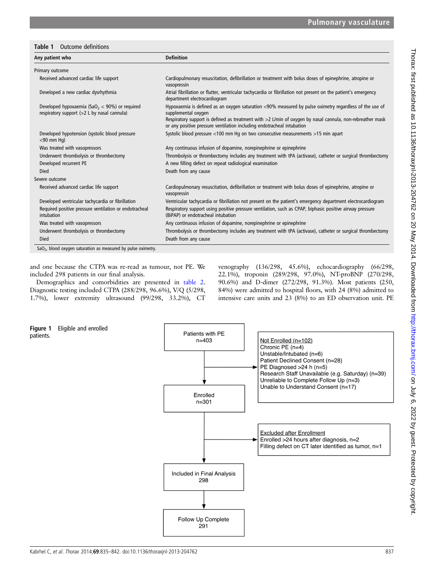#### <span id="page-2-0"></span>Table 1 Outcome definitions

| Cardiopulmonary resuscitation, defibrillation or treatment with bolus doses of epinephrine, atropine or<br>Atrial fibrillation or flutter, ventricular tachycardia or fibrillation not present on the patient's emergency<br>department electrocardiogram<br>Hypoxaemia is defined as an oxygen saturation <90% measured by pulse oximetry regardless of the use of<br>supplemental oxygen<br>Respiratory support is defined as treatment with >2 L/min of oxygen by nasal cannula, non-rebreather mask<br>or any positive pressure ventilation including endotracheal intubation<br>Systolic blood pressure <100 mm Hg on two consecutive measurements >15 min apart<br>Any continuous infusion of dopamine, norepinephrine or epinephrine |
|---------------------------------------------------------------------------------------------------------------------------------------------------------------------------------------------------------------------------------------------------------------------------------------------------------------------------------------------------------------------------------------------------------------------------------------------------------------------------------------------------------------------------------------------------------------------------------------------------------------------------------------------------------------------------------------------------------------------------------------------|
|                                                                                                                                                                                                                                                                                                                                                                                                                                                                                                                                                                                                                                                                                                                                             |
|                                                                                                                                                                                                                                                                                                                                                                                                                                                                                                                                                                                                                                                                                                                                             |
|                                                                                                                                                                                                                                                                                                                                                                                                                                                                                                                                                                                                                                                                                                                                             |
|                                                                                                                                                                                                                                                                                                                                                                                                                                                                                                                                                                                                                                                                                                                                             |
|                                                                                                                                                                                                                                                                                                                                                                                                                                                                                                                                                                                                                                                                                                                                             |
|                                                                                                                                                                                                                                                                                                                                                                                                                                                                                                                                                                                                                                                                                                                                             |
| Thrombolysis or thrombectomy includes any treatment with tPA (activase), catheter or surgical thrombectomy                                                                                                                                                                                                                                                                                                                                                                                                                                                                                                                                                                                                                                  |
| A new filling defect on repeat radiological examination                                                                                                                                                                                                                                                                                                                                                                                                                                                                                                                                                                                                                                                                                     |
| Death from any cause                                                                                                                                                                                                                                                                                                                                                                                                                                                                                                                                                                                                                                                                                                                        |
|                                                                                                                                                                                                                                                                                                                                                                                                                                                                                                                                                                                                                                                                                                                                             |
| Cardiopulmonary resuscitation, defibrillation or treatment with bolus doses of epinephrine, atropine or                                                                                                                                                                                                                                                                                                                                                                                                                                                                                                                                                                                                                                     |
| Ventricular tachycardia or fibrillation not present on the patient's emergency department electrocardiogram                                                                                                                                                                                                                                                                                                                                                                                                                                                                                                                                                                                                                                 |
| Respiratory support using positive pressure ventilation, such as CPAP, biphasic positive airway pressure<br>(BiPAP) or endotracheal intubation                                                                                                                                                                                                                                                                                                                                                                                                                                                                                                                                                                                              |
| Any continuous infusion of dopamine, norepinephrine or epinephrine                                                                                                                                                                                                                                                                                                                                                                                                                                                                                                                                                                                                                                                                          |
| Thrombolysis or thrombectomy includes any treatment with tPA (activase), catheter or surgical thrombectomy                                                                                                                                                                                                                                                                                                                                                                                                                                                                                                                                                                                                                                  |
| Death from any cause                                                                                                                                                                                                                                                                                                                                                                                                                                                                                                                                                                                                                                                                                                                        |
|                                                                                                                                                                                                                                                                                                                                                                                                                                                                                                                                                                                                                                                                                                                                             |

and one because the CTPA was re-read as tumour, not PE. We included 298 patients in our final analysis.

Demographics and comorbidities are presented in [table 2](#page-3-0). Diagnostic testing included CTPA (288/298, 96.6%), V/Q (5/298, 1.7%), lower extremity ultrasound (99/298, 33.2%), CT

venography (136/298, 45.6%), echocardiography (66/298, 22.1%), troponin (289/298, 97.0%), NT-proBNP (270/298, 90.6%) and D-dimer (272/298, 91.3%). Most patients (250, 84%) were admitted to hospital floors, with 24 (8%) admitted to intensive care units and 23 (8%) to an ED observation unit. PE

### Figure 1 Eligible and enrolled patients.

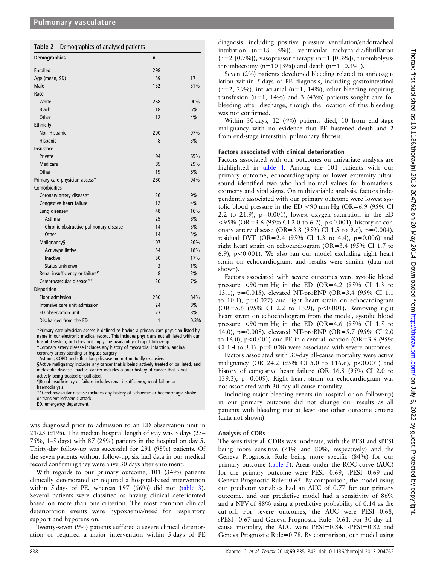<span id="page-3-0"></span>

| Table 2 | Demographics of analysed patients |  |  |
|---------|-----------------------------------|--|--|
|---------|-----------------------------------|--|--|

| <b>Demographics</b>                   | $\mathsf{n}$ |      |
|---------------------------------------|--------------|------|
| Enrolled                              | 298          |      |
| Age (mean, SD)                        | 59           | 17   |
| Male                                  | 152          | 51%  |
| Race                                  |              |      |
| White                                 | 268          | 90%  |
| <b>Black</b>                          | 18           | 6%   |
| Other                                 | 12           | 4%   |
| Ethnicity                             |              |      |
| Non-Hispanic                          | 290          | 97%  |
| Hispanic                              | 8            | 3%   |
| Insurance                             |              |      |
| Private                               | 194          | 65%  |
| Medicare                              | 85           | 29%  |
| Other                                 | 19           | 6%   |
| Primary care physician access*        | 280          | 94%  |
| Comorbidities                         |              |      |
| Coronary artery diseaset              | 26           | 9%   |
| Congestive heart failure              | 12           | 4%   |
| Lung disease‡                         | 48           | 16%  |
| Asthma                                | 25           | 8%   |
| Chronic obstructive pulmonary disease | 14           | 5%   |
| Other                                 | 14           | 5%   |
| Malignancy§                           | 107          | 36%  |
| Active/palliative                     | 54           | 18%  |
| Inactive                              | 50           | 17%  |
| Status unknown                        | 3            | 1%   |
| Renal insufficiency or failure¶       | 8            | 3%   |
| Cerebrovascular disease**             | 20           | 7%   |
| Disposition                           |              |      |
| Floor admission                       | 250          | 84%  |
| Intensive care unit admission         | 24           | 8%   |
| ED observation unit                   | 23           | 8%   |
| Discharged from the ED                | 1            | 0.3% |

\*Primary care physician access is defined as having a primary care physician listed by name in our electronic medical record. This includes physicians not affiliated with our hospital system, but does not imply the availability of rapid follow-up.

†Coronary artery disease includes any history of myocardial infarction, angina,

coronary artery stenting or bypass surgery.

‡Asthma, COPD and other lung disease are not mutually exclusive. §Active malignancy includes any cancer that is being actively treated or palliated, and metastatic disease. Inactive cancer includes a prior history of cancer that is not actively being treated or palliated.

¶Renal insufficiency or failure includes renal insufficiency, renal failure or haemodialysis.

\*\*Cerebrovascular disease includes any history of ischaemic or haemorrhagic stroke or transient ischaemic attack.

ED, emergency department.

was diagnosed prior to admission to an ED observation unit in 21/23 (91%). The median hospital length of stay was 3 days (25– 75%, 1–5 days) with 87 (29%) patients in the hospital on day 5. Thirty-day follow-up was successful for 291 (98%) patients. Of the seven patients without follow-up, six had data in our medical record confirming they were alive 30 days after enrolment.

With regards to our primary outcome, 101 (34%) patients clinically deteriorated or required a hospital-based intervention within 5 days of PE, whereas 197 (66%) did not ([table 3](#page-4-0)). Several patients were classified as having clinical deteriorated based on more than one criterion. The most common clinical deterioration events were hypoxaemia/need for respiratory support and hypotension.

Twenty-seven (9%) patients suffered a severe clinical deterioration or required a major intervention within 5 days of PE

diagnosis, including positive pressure ventilation/endotracheal intubation (n=18 [6%]); ventricular tachycardia/fibrillation  $(n=2 \, [0.7\%])$ , vasopressor therapy  $(n=1 \, [0.3\%])$ , thrombolysis/ thrombectomy (n=10 [3%]) and death (n=1 [0.3%]).

Seven (2%) patients developed bleeding related to anticoagulation within 5 days of PE diagnosis, including gastrointestinal  $(n=2, 29%)$ , intracranial  $(n=1, 14%)$ , other bleeding requiring transfusion ( $n=1$ , 14%) and 3 (43%) patients sought care for bleeding after discharge, though the location of this bleeding was not confirmed.

Within 30 days, 12 (4%) patients died, 10 from end-stage malignancy with no evidence that PE hastened death and 2 from end-stage interstitial pulmonary fibrosis.

### Factors associated with clinical deterioration

Factors associated with our outcomes on univariate analysis are highlighted in [table 4.](#page-5-0) Among the 101 patients with our primary outcome, echocardiography or lower extremity ultrasound identified two who had normal values for biomarkers, oximetry and vital signs. On multivariable analysis, factors independently associated with our primary outcome were lowest systolic blood pressure in the ED <90 mm Hg (OR=6.9 (95% CI 2.2 to 21.9),  $p=0.001$ ), lowest oxygen saturation in the ED  $\langle 95\% \text{ (OR=3.6 (95\% CI 2.0 to 6.2), p<0.001), history of cor-$ onary artery disease (OR=3.8 (95% CI 1.5 to 9.6),  $p=0.004$ ), residual DVT (OR=2.4 (95% CI 1.3 to 4.4), p=0.006) and right heart strain on echocardiogram (OR=3.4 (95% CI 1.7 to 6.9),  $p < 0.001$ ). We also ran our model excluding right heart strain on echocardiogram, and results were similar (data not shown).

Factors associated with severe outcomes were systolic blood pressure  $\leq 90$  mm Hg in the ED (OR=4.2 (95% CI 1.3 to 13.1), p=0.015), elevated NT-proBNP (OR=3.4 (95% CI 1.1 to 10.1), p=0.027) and right heart strain on echocardiogram (OR=5.6 (95% CI 2.2 to 13.9), p<0.001). Removing right heart strain on echocardiogram from the model, systolic blood pressure <90 mm Hg in the ED (OR=4.6 (95% CI 1.5 to 14.0), p=0.008), elevated NT-proBNP (OR=5.7 (95% CI 2.0 to 16.0),  $p < 0.001$  and PE in a central location (OR=3.6 (95%) CI 1.4 to 9.1), p=0.008) were associated with severe outcomes.

Factors associated with 30-day all-cause mortality were active malignancy (OR 24.2 (95% CI 5.0 to 116.6),  $p < 0.001$ ) and history of congestive heart failure (OR 16.8 (95% CI 2.0 to 139.3), p=0.009). Right heart strain on echocardiogram was not associated with 30-day all-cause mortality.

Including major bleeding events (in hospital or on follow-up) in our primary outcome did not change our results as all patients with bleeding met at least one other outcome criteria (data not shown).

### Analysis of CDRs

The sensitivity all CDRs was moderate, with the PESI and sPESI being more sensitive (71% and 80%, respectively) and the Geneva Prognostic Rule being more specific (84%) for our primary outcome ([table 5\)](#page-6-0). Areas under the ROC curve (AUC) for the primary outcome were PESI=0.69, sPESI=0.69 and Geneva Prognostic Rule=0.65. By comparison, the model using our predictor variables had an AUC of 0.77 for our primary outcome, and our predictive model had a sensitivity of 86% and a NPV of 88% using a predictive probability of 0.14 as the cut-off. For severe outcomes, the AUC were PESI=0.68, sPESI=0.67 and Geneva Prognostic Rule=0.61. For 30-day allcause mortality, the AUC were PESI=0.84, sPESI=0.82 and Geneva Prognostic Rule=0.78. By comparison, our model using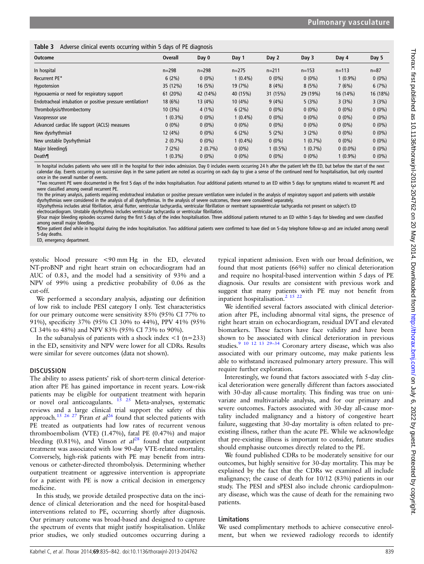<span id="page-4-0"></span>

|  | Table 3 Adverse clinical events occurring within 5 days of PE diagnosis |  |  |  |  |  |  |  |
|--|-------------------------------------------------------------------------|--|--|--|--|--|--|--|
|--|-------------------------------------------------------------------------|--|--|--|--|--|--|--|

| <b>Overall</b> | Day 0      | Day 1      | Day 2      | Day 3      | Day 4      | Day 5    |
|----------------|------------|------------|------------|------------|------------|----------|
| $n = 298$      | $n = 298$  | $n=275$    | $n = 211$  | $n = 153$  | $n = 113$  | $n = 87$ |
| 6(2%)          | $0(0\%)$   | $1(0.4\%)$ | $0(0\%)$   | $0(0\%)$   | $1(0.9\%)$ | $0(0\%)$ |
| 35 (12%)       | 16(5%)     | 19 (7%)    | 8(4%)      | 8(5%)      | 7(6%)      | 6(7%)    |
| 61 (20%)       | 42 (14%)   | 40 (15%)   | 31 (15%)   | 29 (19%)   | 16 (14%)   | 16 (18%) |
| 18 (6%)        | 13 (4%)    | 10(4%)     | 9(4%)      | 5(3%)      | 3(3%)      | 3(3%)    |
| 10(3%)         | $4(1\%)$   | 6(2%)      | $0(0\%)$   | $0(0\%)$   | $0(0\%)$   | $0(0\%)$ |
| $1(0.3\%)$     | $0(0\%)$   | $1(0.4\%)$ | $0(0\%)$   | $0(0\%)$   | $0(0\%)$   | $0(0\%)$ |
| $0(0\%)$       | $0(0\%)$   | $0(0\%)$   | $0(0\%)$   | $0(0\%)$   | $0(0\%)$   | $0(0\%)$ |
| 12(4%)         | $0(0\%)$   | 6(2%)      | 5(2%)      | $3(2\%)$   | $0(0\%)$   | $0(0\%)$ |
| $2(0.7\%)$     | $0(0\%)$   | $1(0.4\%)$ | $0(0\%)$   | $1(0.7\%)$ | $0(0\%)$   | $0(0\%)$ |
| 7(2%)          | $2(0.7\%)$ | $0(0\%)$   | $1(0.5\%)$ | $1(0.7\%)$ | $0(0.0\%)$ | $0(0\%)$ |
| $1(0.3\%)$     | $0(0\%)$   | $0(0\%)$   | $0(0\%)$   | $0(0\%)$   | $1(0.9\%)$ | $0(0\%)$ |
|                |            |            |            |            |            |          |

In hospital includes patients who were still in the hospital for their index admission. Day 0 includes events occurring 24 h after the patient left the ED, but before the start of the next calendar day. Events occurring on successive days in the same patient are noted as occurring on each day to give a sense of the continued need for hospitalisation, but only counted once in the overall number of events.

\*Two recurrent PE were documented in the first 5 days of the index hospitalisation. Four additional patients returned to an ED within 5 days for symptoms related to recurrent PE and were classified among overall recurrent PE.

†In the primary analysis, patients requiring endotracheal intubation or positive pressure ventilation were included in the analysis of respiratory support and patients with unstable dysrhythmias were considered in the analysis of all dysrhythmias. In the analysis of severe outcomes, these were considered separately.

‡Dysrhythmia includes atrial fibrillation, atrial flutter, ventricular tachycardia, ventricular fibrillation or reentrant supraventricular tachycardia not present on subject's ED

electrocardiogram. Unstable dysrhythmia includes ventricular tachycardia or ventricular fibrillation. §Four major bleeding episodes occurred during the first 5 days of the index hospitalisation. Three additional patients returned to an ED within 5 days for bleeding and were classified

among overall major bleeding. ¶One patient died while in hospital during the index hospitalisation. Two additional patients were confirmed to have died on 5-day telephone follow-up and are included among overall 5-day deaths.

ED, emergency department.

systolic blood pressure <90 mm Hg in the ED, elevated NT-proBNP and right heart strain on echocardiogram had an AUC of 0.83, and the model had a sensitivity of 93% and a NPV of 99% using a predictive probability of 0.06 as the cut-off.

We performed a secondary analysis, adjusting our definition of low risk to include PESI category I only. Test characteristics for our primary outcome were sensitivity 85% (95% CI 77% to 91%), specificity 37% (95% CI 30% to 44%), PPV 41% (95% CI 34% to 48%) and NPV 83% (95% CI 73% to 90%).

In the subanalysis of patients with a shock index  $\langle 1 \rangle$  (n=233) in the ED, sensitivity and NPV were lower for all CDRs. Results were similar for severe outcomes (data not shown).

## **DISCUSSION**

The ability to assess patients' risk of short-term clinical deterioration after PE has gained importance in recent years. Low-risk patients may be eligible for outpatient treatment with heparin or novel oral anticoagulants.  $15 \t 25$  Meta-analyses, systematic reviews and a large clinical trial support the safety of this approach.<sup>[15 26 27](#page-7-0)</sup> Piran et  $al^{26}$  $al^{26}$  $al^{26}$  found that selected patients with PE treated as outpatients had low rates of recurrent venous thromboembolism (VTE) (1.47%), fatal PE (0.47%) and major bleeding (0.81%), and Vinson et  $al^{28}$  $al^{28}$  $al^{28}$  found that outpatient treatment was associated with low 90-day VTE-related mortality. Conversely, high-risk patients with PE may benefit from intravenous or catheter-directed thrombolysis. Determining whether outpatient treatment or aggressive intervention is appropriate for a patient with PE is now a critical decision in emergency medicine.

In this study, we provide detailed prospective data on the incidence of clinical deterioration and the need for hospital-based interventions related to PE, occurring shortly after diagnosis. Our primary outcome was broad-based and designed to capture the spectrum of events that might justify hospitalisation. Unlike prior studies, we only studied outcomes occurring during a

typical inpatient admission. Even with our broad definition, we found that most patients (66%) suffer no clinical deterioration and require no hospital-based intervention within 5 days of PE diagnosis. Our results are consistent with previous work and suggest that many patients with PE may not benefit from inpatient hospitalisation[.2](#page-6-0) [15 22](#page-7-0)

We identified several factors associated with clinical deterioration after PE, including abnormal vital signs, the presence of right heart strain on echocardiogram, residual DVT and elevated biomarkers. These factors have face validity and have been shown to be associated with clinical deterioration in previous studies.<sup>9</sup> <sup>10 12 13 <sup>29-[34](#page-7-0)</sup> Coronary artery disease, which was also</sup> associated with our primary outcome, may make patients less able to withstand increased pulmonary artery pressure. This will require further exploration.

Interestingly, we found that factors associated with 5-day clinical deterioration were generally different than factors associated with 30-day all-cause mortality. This finding was true on univariate and multivariable analysis, and for our primary and severe outcomes. Factors associated with 30-day all-cause mortality included malignancy and a history of congestive heart failure, suggesting that 30-day mortality is often related to preexisting illness, rather than the acute PE. While we acknowledge that pre-existing illness is important to consider, future studies should emphasise outcomes directly related to the PE.

We found published CDRs to be moderately sensitive for our outcomes, but highly sensitive for 30-day mortality. This may be explained by the fact that the CDRs we examined all include malignancy; the cause of death for 10/12 (83%) patients in our study. The PESI and sPESI also include chronic cardiopulmonary disease, which was the cause of death for the remaining two patients.

## Limitations

We used complimentary methods to achieve consecutive enrolment, but when we reviewed radiology records to identify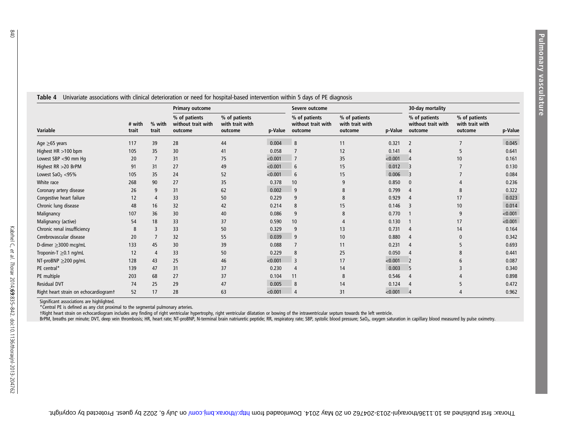|                                       |                 |                   | <b>Primary outcome</b>                         |                                             |         | Severe outcome                                 |                                             |         | 30-day mortality                               |                                             |         |
|---------------------------------------|-----------------|-------------------|------------------------------------------------|---------------------------------------------|---------|------------------------------------------------|---------------------------------------------|---------|------------------------------------------------|---------------------------------------------|---------|
| <b>Variable</b>                       | # with<br>trait | $%$ with<br>trait | % of patients<br>without trait with<br>outcome | % of patients<br>with trait with<br>outcome | p-Value | % of patients<br>without trait with<br>outcome | % of patients<br>with trait with<br>outcome | p-Value | % of patients<br>without trait with<br>outcome | % of patients<br>with trait with<br>outcome | p-Value |
| Age $\geq 65$ years                   | 117             | 39                | 28                                             | 44                                          | 0.004   | 8                                              | 11                                          | 0.321   |                                                |                                             | 0.045   |
| Highest HR >100 bpm                   | 105             | 35                | 30                                             | 41                                          | 0.058   |                                                | 12                                          | 0.141   |                                                |                                             | 0.641   |
| Lowest SBP <90 mm Hq                  | 20              | 7                 | 31                                             | 75                                          | < 0.001 |                                                | 35                                          | < 0.001 |                                                | 10                                          | 0.161   |
| Highest RR > 20 BrPM                  | 91              | 31                | 27                                             | 49                                          | < 0.001 | 6                                              | 15                                          | 0.012   |                                                |                                             | 0.130   |
| Lowest $SaO2 < 95%$                   | 105             | 35                | 24                                             | 52                                          | < 0.001 | 6                                              | 15                                          | 0.006   |                                                |                                             | 0.084   |
| White race                            | 268             | 90                | 27                                             | 35                                          | 0.378   | 10                                             |                                             | 0.850   |                                                |                                             | 0.236   |
| Coronary artery disease               | 26              | 9                 | 31                                             | 62                                          | 0.002   | 9                                              |                                             | 0.799   |                                                |                                             | 0.322   |
| Congestive heart failure              | 12              | $\overline{4}$    | 33                                             | 50                                          | 0.229   | 9                                              |                                             | 0.929   |                                                | 17                                          | 0.023   |
| Chronic lung disease                  | 48              | 16                | 32                                             | 42                                          | 0.214   | 8                                              | 15                                          | 0.146   |                                                | 10                                          | 0.014   |
| Malignancy                            | 107             | 36                | 30                                             | 40                                          | 0.086   | 9                                              |                                             | 0.770   |                                                | 9                                           | < 0.001 |
| Malignancy (active)                   | 54              | 18                | 33                                             | 37                                          | 0.590   | 10                                             |                                             | 0.130   |                                                | 17                                          | < 0.001 |
| Chronic renal insufficiency           | 8               | 3                 | 33                                             | 50                                          | 0.329   |                                                | 13                                          | 0.731   |                                                | 14                                          | 0.164   |
| Cerebrovascular disease               | 20              | 7                 | 32                                             | 55                                          | 0.039   | 9                                              | 10                                          | 0.880   |                                                | $\Omega$                                    | 0.342   |
| D-dimer $\geq$ 3000 mcg/mL            | 133             | 45                | 30                                             | 39                                          | 0.088   |                                                | 11                                          | 0.231   |                                                |                                             | 0.693   |
| Troponin-T $\geq$ 0.1 ng/mL           | 12              | $\overline{4}$    | 33                                             | 50                                          | 0.229   | 8                                              | 25                                          | 0.050   |                                                |                                             | 0.441   |
| NT-proBNP ≥200 pg/mL                  | 128             | 43                | 25                                             | 46                                          | < 0.001 | 3                                              | 17                                          | < 0.001 |                                                |                                             | 0.087   |
| PE central*                           | 139             | 47                | 31                                             | 37                                          | 0.230   | 4                                              | 14                                          | 0.003   |                                                |                                             | 0.340   |
| PE multiple                           | 203             | 68                | 27                                             | 37                                          | 0.104   | 11                                             |                                             | 0.546   |                                                |                                             | 0.898   |
| <b>Residual DVT</b>                   | 74              | 25                | 29                                             | 47                                          | 0.005   | 8                                              | 14                                          | 0.124   |                                                |                                             | 0.472   |
| Right heart strain on echocardiogramt | 52              | 17                | 28                                             | 63                                          | < 0.001 |                                                | 31                                          | < 0.001 |                                                |                                             | 0.962   |

#### <span id="page-5-0"></span>Table 4 Univariate associations with clinical deterioration or need for hospital-based intervention within 5 days of PE diagnosis

Significant associations are highlighted.<br>\*Central PE is defined as any clot proximal to the segmental pulmonary arteries.<br>†Right heart strain on echocardiogram includes any finding of right ventricular hypertrophy, right

Kabrhel C,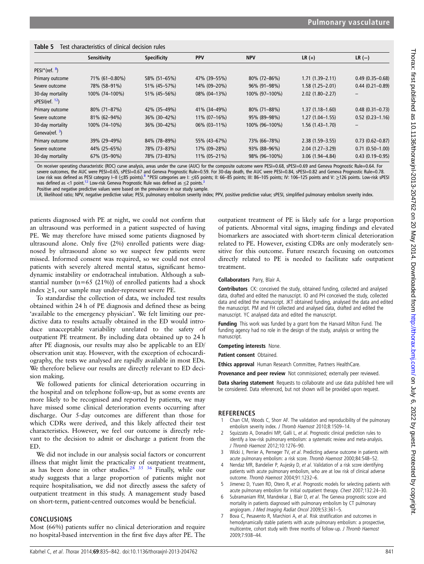<span id="page-6-0"></span>

|  | <b>Table 5</b> Test characteristics of clinical decision rules |  |
|--|----------------------------------------------------------------|--|
|--|----------------------------------------------------------------|--|

|                                                 | Sensitivity     | <b>Specificity</b> | <b>PPV</b>      | <b>NPV</b>     | LR $(+)$            | LR $(-)$            |  |  |  |
|-------------------------------------------------|-----------------|--------------------|-----------------|----------------|---------------------|---------------------|--|--|--|
| PESI <sup>*</sup> (ref. $8$ )                   |                 |                    |                 |                |                     |                     |  |  |  |
| Primary outcome                                 | 71% (61-0.80%)  | 58% (51-65%)       | 47% (39-55%)    | 80% (72-86%)   | $1.71(1.39 - 2.11)$ | $0.49(0.35 - 0.68)$ |  |  |  |
| Severe outcome                                  | 78% (58-91%)    | 51% (45-57%)       | 14% (09-20%)    | 96% (91-98%)   | $1.58(1.25 - 2.01)$ | $0.44(0.21 - 0.89)$ |  |  |  |
| 30-day mortality<br>sPESI(ref. <sup>12</sup> )  | 100% (74-100%)  | 51% (45-56%)       | 08% (04-13%)    | 100% (97-100%) | $2.02(1.80 - 2.27)$ |                     |  |  |  |
| Primary outcome                                 | 80% (71-87%)    | 42% (35-49%)       | 41% (34-49%)    | 80% (71-88%)   | $1.37(1.18 - 1.60)$ | $0.48(0.31 - 0.73)$ |  |  |  |
| Severe outcome                                  | $81\%$ (62-94%) | 36% (30-42%)       | $11\%$ (07-16%) | 95% (89-98%)   | $1.27(1.04-1.55)$   | $0.52(0.23 - 1.16)$ |  |  |  |
| 30-day mortality<br>Geneva(ref. $\frac{3}{2}$ ) | 100% (74-10%)   | 36% (30-42%)       | 06% (03-11%)    | 100% (96-100%) | $1.56(1.43 - 1.70)$ |                     |  |  |  |
| Primary outcome                                 | 39% (29-49%)    | 84% (78-89%)       | 55% (43-67%)    | 73% (66-78%)   | $2.38(1.59 - 3.55)$ | $0.73(0.62 - 0.87)$ |  |  |  |
| Severe outcome                                  | 44% (25-65%)    | 78% (73-83%)       | 17% (09-28%)    | 93% (88-96%)   | $2.04(1.27 - 3.29)$ | $0.71(0.50 - 1.00)$ |  |  |  |
| 30-day mortality                                | 67% (35-90%)    | 78% (73-83%)       | $11\%$ (05-21%) | 98% (96-100%)  | $3.06(1.94 - 4.84)$ | $0.43(0.19 - 0.95)$ |  |  |  |

On receiver operating characteristic (ROC) curve analysis, areas under the curve (AUC) for the composite outcome were PESI=0.68, sPESI=0.69 and Geneva Prognostic Rule=0.64. For severe outcomes, the AUC were PESI=0.65, sPESI=0.67 and Geneva Prognostic Rule=0.59. For 30-day death, the AUC were PESI=0.84, sPESI=0.82 and Geneva Prognostic Rule=0.78. Low risk was defined as PESI category I–II (≤[8](#page-7-0)5 points).8 \*PESI categories are I: ≤65 points; II: 66-85 points; III: 86-105 points; IV: 106-125 points and V: ≥126 points. Low-risk sPESI was defined as <1 point.<sup>[12](#page-7-0)</sup> Low-risk Geneva Prognostic Rule was defined as  $\leq$ 2 points.

Positive and negative predictive values were based on the prevalence in our study sample.

LR, likelihood ratio; NPV, negative predictive value; PESI, pulmonary embolism severity index; PPV, positive predictive value; sPESI, simplified pulmonary embolism severity index.

patients diagnosed with PE at night, we could not confirm that an ultrasound was performed in a patient suspected of having PE. We may therefore have missed some patients diagnosed by ultrasound alone. Only five (2%) enrolled patients were diagnosed by ultrasound alone so we suspect few patients were missed. Informed consent was required, so we could not enrol patients with severely altered mental status, significant hemodynamic instability or endotracheal intubation. Although a substantial number ( $n=65$  (21%)) of enrolled patients had a shock index ≥1, our sample may under-represent severe PE.

To standardise the collection of data, we included test results obtained within 24 h of PE diagnosis and defined these as being 'available to the emergency physician'. We felt limiting our predictive data to results actually obtained in the ED would introduce unacceptable variability unrelated to the safety of outpatient PE treatment. By including data obtained up to 24 h after PE diagnosis, our results may also be applicable to an ED/ observation unit stay. However, with the exception of echocardiography, the tests we analysed are rapidly available in most EDs. We therefore believe our results are directly relevant to ED decision making.

We followed patients for clinical deterioration occurring in the hospital and on telephone follow-up, but as some events are more likely to be recognised and reported by patients, we may have missed some clinical deterioration events occurring after discharge. Our 5-day outcomes are different than those for which CDRs were derived, and this likely affected their test characteristics. However, we feel our outcome is directly relevant to the decision to admit or discharge a patient from the ED.

We did not include in our analysis social factors or concurrent illness that might limit the practicality of outpatient treatment, as has been done in other studies.<sup>28</sup>  $35\frac{36}{1}$  Finally, while our study suggests that a large proportion of patients might not require hospitalisation, we did not directly assess the safety of outpatient treatment in this study. A management study based on short-term, patient-centred outcomes would be beneficial.

## **CONCLUSIONS**

Most (66%) patients suffer no clinical deterioration and require no hospital-based intervention in the first five days after PE. The

outpatient treatment of PE is likely safe for a large proportion of patients. Abnormal vital signs, imaging findings and elevated biomarkers are associated with short-term clinical deterioration related to PE. However, existing CDRs are only moderately sensitive for this outcome. Future research focusing on outcomes directly related to PE is needed to facilitate safe outpatient treatment.

#### Collaborators Parry, Blair A.

Contributors CK: conceived the study, obtained funding, collected and analysed data, drafted and edited the manuscript. IO and PH conceived the study, collected data and edited the manuscript. JKT obtained funding, analysed the data and edited the manuscript. PM and FH collected and analysed data, drafted and edited the manuscript. YC analysed data and edited the manuscript.

Funding This work was funded by a grant from the Harvard Milton Fund. The funding agency had no role in the design of the study, analysis or writing the manuscript.

#### Competing interests None.

Patient consent Obtained.

Ethics approval Human Research Committee, Partners HealthCare.

Provenance and peer review Not commissioned; externally peer reviewed.

Data sharing statement Requests to collaborate and use data published here will be considered. Data referenced, but not shown will be provided upon request.

#### **REFERENCES**

- 1 Chan CM, Woods C, Shorr AF. The validation and reproducibility of the pulmonary embolism severity index. J Thromb Haemost 2010;8:1509-14.
- Squizzato A, Donadini MP, Galli L, et al. Prognostic clinical prediction rules to identify a low-risk pulmonary embolism: a systematic review and meta-analysis. J Thromb Haemost 2012;10:1276–90.
- 3 Wicki J, Perrier A, Perneger TV, et al. Predicting adverse outcome in patients with acute pulmonary embolism: a risk score. Thromb Haemost 2000;84:548–52.
- 4 Nendaz MR, Bandelier P, Aujesky D, et al. Validation of a risk score identifying patients with acute pulmonary embolism, who are at low risk of clinical adverse outcome. Thromb Haemost 2004;91:1232–6.
- Jimenez D, Yusen RD, Otero R, et al. Prognostic models for selecting patients with acute pulmonary embolism for initial outpatient therapy. Chest 2007;132:24–30.
- 6 Subramaniam RM, Mandrekar J, Blair D, et al. The Geneva prognostic score and mortality in patients diagnosed with pulmonary embolism by CT pulmonary angiogram. J Med Imaging Radiat Oncol 2009;53:361–5.
- 7 Bova C, Pesavento R, Marchiori A, et al. Risk stratification and outcomes in hemodynamically stable patients with acute pulmonary embolism: a prospective, multicentre, cohort study with three months of follow-up. J Thromb Haemost 2009;7:938–44.